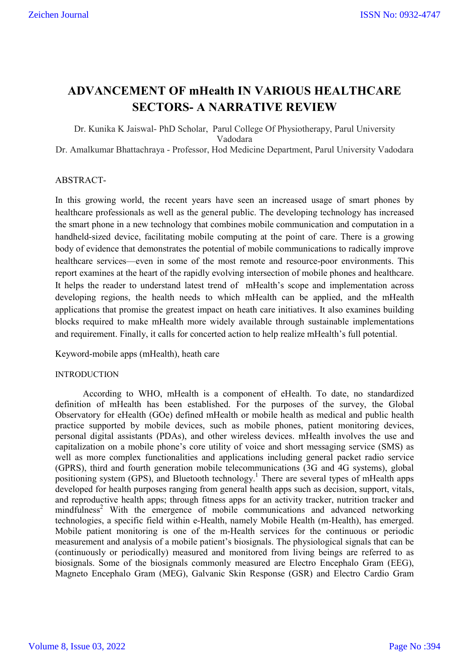## **ADVANCEMENT OF mHealth IN VARIOUS HEALTHCARE SECTORS- A NARRATIVE REVIEW**

Dr. Kunika K Jaiswal- PhD Scholar, Parul College Of Physiotherapy, Parul University Vadodara Dr. Amalkumar Bhattachraya - Professor, Hod Medicine Department, Parul University Vadodara

## ABSTRACT-

In this growing world, the recent years have seen an increased usage of smart phones by healthcare professionals as well as the general public. The developing technology has increased the smart phone in a new technology that combines mobile communication and computation in a handheld-sized device, facilitating mobile computing at the point of care. There is a growing body of evidence that demonstrates the potential of mobile communications to radically improve healthcare services—even in some of the most remote and resource-poor environments. This report examines at the heart of the rapidly evolving intersection of mobile phones and healthcare. It helps the reader to understand latest trend of mHealth's scope and implementation across developing regions, the health needs to which mHealth can be applied, and the mHealth applications that promise the greatest impact on heath care initiatives. It also examines building blocks required to make mHealth more widely available through sustainable implementations and requirement. Finally, it calls for concerted action to help realize mHealth's full potential.

Keyword-mobile apps (mHealth), heath care

#### INTRODUCTION

According to WHO, mHealth is a component of eHealth. To date, no standardized definition of mHealth has been established. For the purposes of the survey, the Global Observatory for eHealth (GOe) defined mHealth or mobile health as medical and public health practice supported by mobile devices, such as mobile phones, patient monitoring devices, personal digital assistants (PDAs), and other wireless devices. mHealth involves the use and capitalization on a mobile phone's core utility of voice and short messaging service (SMS) as well as more complex functionalities and applications including general packet radio service (GPRS), third and fourth generation mobile telecommunications (3G and 4G systems), global positioning system (GPS), and Bluetooth technology.<sup>1</sup> There are several types of mHealth apps developed for health purposes ranging from general health apps such as decision, support, vitals, and reproductive health apps; through fitness apps for an activity tracker, nutrition tracker and mindfulness<sup>2</sup> With the emergence of mobile communications and advanced networking technologies, a specific field within e-Health, namely Mobile Health (m-Health), has emerged. Mobile patient monitoring is one of the m-Health services for the continuous or periodic measurement and analysis of a mobile patient's biosignals. The physiological signals that can be (continuously or periodically) measured and monitored from living beings are referred to as biosignals. Some of the biosignals commonly measured are Electro Encephalo Gram (EEG), Magneto Encephalo Gram (MEG), Galvanic Skin Response (GSR) and Electro Cardio Gram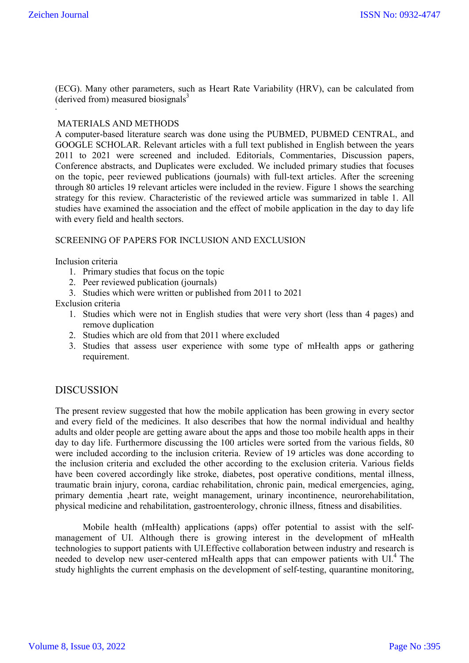**.**

(ECG). Many other parameters, such as Heart Rate Variability (HRV), can be calculated from (derived from) measured biosignals $3$ 

## MATERIALS AND METHODS

A computer-based literature search was done using the PUBMED, PUBMED CENTRAL, and GOOGLE SCHOLAR. Relevant articles with a full text published in English between the years 2011 to 2021 were screened and included. Editorials, Commentaries, Discussion papers, Conference abstracts, and Duplicates were excluded. We included primary studies that focuses on the topic, peer reviewed publications (journals) with full-text articles. After the screening through 80 articles 19 relevant articles were included in the review. Figure 1 shows the searching strategy for this review. Characteristic of the reviewed article was summarized in table 1. All studies have examined the association and the effect of mobile application in the day to day life with every field and health sectors.

## SCREENING OF PAPERS FOR INCLUSION AND EXCLUSION

Inclusion criteria

- 1. Primary studies that focus on the topic
- 2. Peer reviewed publication (journals)
- 3. Studies which were written or published from 2011 to 2021

Exclusion criteria

- 1. Studies which were not in English studies that were very short (less than 4 pages) and remove duplication
- 2. Studies which are old from that 2011 where excluded
- 3. Studies that assess user experience with some type of mHealth apps or gathering requirement.

## **DISCUSSION**

The present review suggested that how the mobile application has been growing in every sector and every field of the medicines. It also describes that how the normal individual and healthy adults and older people are getting aware about the apps and those too mobile health apps in their day to day life. Furthermore discussing the 100 articles were sorted from the various fields, 80 were included according to the inclusion criteria. Review of 19 articles was done according to the inclusion criteria and excluded the other according to the exclusion criteria. Various fields have been covered accordingly like stroke, diabetes, post operative conditions, mental illness, traumatic brain injury, corona, cardiac rehabilitation, chronic pain, medical emergencies, aging, primary dementia ,heart rate, weight management, urinary incontinence, neurorehabilitation, physical medicine and rehabilitation, gastroenterology, chronic illness, fitness and disabilities.

Mobile health (mHealth) applications (apps) offer potential to assist with the selfmanagement of UI. Although there is growing interest in the development of mHealth technologies to support patients with UI.Effective collaboration between industry and research is needed to develop new user-centered mHealth apps that can empower patients with  $UI<sup>4</sup>$ . The study highlights the current emphasis on the development of self-testing, quarantine monitoring,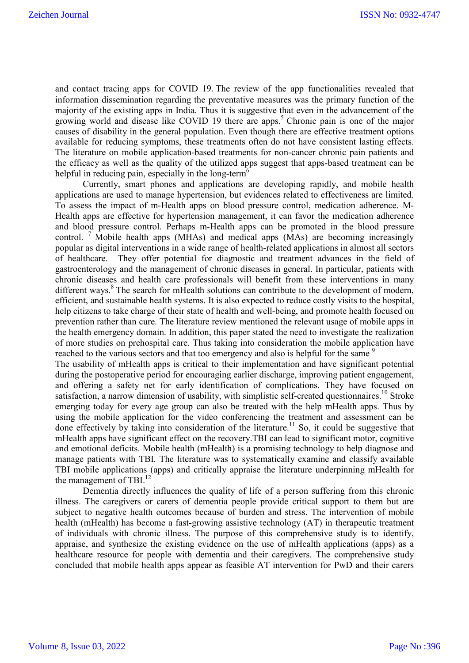and contact tracing apps for COVID 19.The review of the app functionalities revealed that information dissemination regarding the preventative measures was the primary function of the majority of the existing apps in India. Thus it is suggestive that even in the advancement of the growing world and disease like COVID 19 there are apps.<sup>5</sup> Chronic pain is one of the major causes of disability in the general population. Even though there are effective treatment options available for reducing symptoms, these treatments often do not have consistent lasting effects. The literature on mobile application-based treatments for non-cancer chronic pain patients and the efficacy as well as the quality of the utilized apps suggest that apps-based treatment can be helpful in reducing pain, especially in the long-term<sup>6</sup>

Currently, smart phones and applications are developing rapidly, and mobile health applications are used to manage hypertension, but evidences related to effectiveness are limited. To assess the impact of m-Health apps on blood pressure control, medication adherence. M-Health apps are effective for hypertension management, it can favor the medication adherence and blood pressure control. Perhaps m-Health apps can be promoted in the blood pressure control. <sup>7</sup> Mobile health apps (MHAs) and medical apps (MAs) are becoming increasingly popular as digital interventions in a wide range of health-related applications in almost all sectors of healthcare. They offer potential for diagnostic and treatment advances in the field of gastroenterology and the management of chronic diseases in general. In particular, patients with chronic diseases and health care professionals will benefit from these interventions in many different ways.<sup>8</sup> The search for mHealth solutions can contribute to the development of modern, efficient, and sustainable health systems. It is also expected to reduce costly visits to the hospital, help citizens to take charge of their state of health and well-being, and promote health focused on prevention rather than cure. The literature review mentioned the relevant usage of mobile apps in the health emergency domain. In addition, this paper stated the need to investigate the realization of more studies on prehospital care. Thus taking into consideration the mobile application have reached to the various sectors and that too emergency and also is helpful for the same <sup>9</sup>

The usability of mHealth apps is critical to their implementation and have significant potential during the postoperative period for encouraging earlier discharge, improving patient engagement, and offering a safety net for early identification of complications. They have focused on satisfaction, a narrow dimension of usability, with simplistic self-created questionnaires.<sup>10</sup> Stroke emerging today for every age group can also be treated with the help mHealth apps. Thus by using the mobile application for the video conferencing the treatment and assessment can be done effectively by taking into consideration of the literature.<sup>11</sup> So, it could be suggestive that mHealth apps have significant effect on the recovery.TBI can lead to significant motor, cognitive and emotional deficits. Mobile health (mHealth) is a promising technology to help diagnose and manage patients with TBI. The literature was to systematically examine and classify available TBI mobile applications (apps) and critically appraise the literature underpinning mHealth for the management of TBI. $^{12}$ 

Dementia directly influences the quality of life of a person suffering from this chronic illness. The caregivers or carers of dementia people provide critical support to them but are subject to negative health outcomes because of burden and stress. The intervention of mobile health (mHealth) has become a fast-growing assistive technology (AT) in therapeutic treatment of individuals with chronic illness. The purpose of this comprehensive study is to identify, appraise, and synthesize the existing evidence on the use of mHealth applications (apps) as a healthcare resource for people with dementia and their caregivers. The comprehensive study concluded that mobile health apps appear as feasible AT intervention for PwD and their carers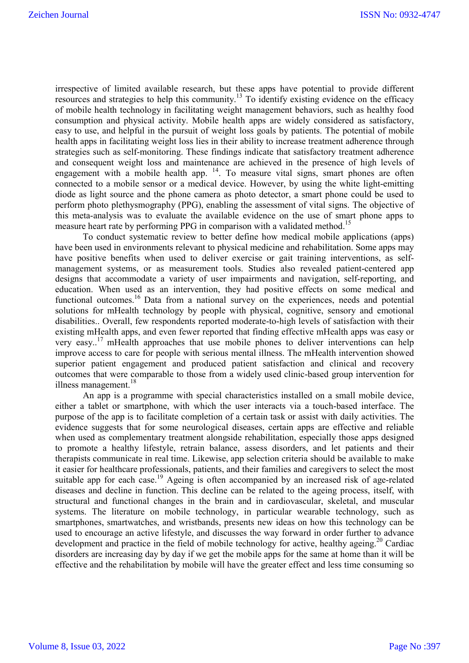irrespective of limited available research, but these apps have potential to provide different resources and strategies to help this community.<sup>13</sup> To identify existing evidence on the efficacy of mobile health technology in facilitating weight management behaviors, such as healthy food consumption and physical activity. Mobile health apps are widely considered as satisfactory, easy to use, and helpful in the pursuit of weight loss goals by patients. The potential of mobile health apps in facilitating weight loss lies in their ability to increase treatment adherence through strategies such as self-monitoring. These findings indicate that satisfactory treatment adherence and consequent weight loss and maintenance are achieved in the presence of high levels of engagement with a mobile health app.  $14$ . To measure vital signs, smart phones are often connected to a mobile sensor or a medical device. However, by using the white light-emitting diode as light source and the phone camera as photo detector, a smart phone could be used to perform photo plethysmography (PPG), enabling the assessment of vital signs. The objective of this meta-analysis was to evaluate the available evidence on the use of smart phone apps to measure heart rate by performing PPG in comparison with a validated method.<sup>15</sup>

To conduct systematic review to better define how medical mobile applications (apps) have been used in environments relevant to physical medicine and rehabilitation. Some apps may have positive benefits when used to deliver exercise or gait training interventions, as selfmanagement systems, or as measurement tools. Studies also revealed patient-centered app designs that accommodate a variety of user impairments and navigation, self-reporting, and education. When used as an intervention, they had positive effects on some medical and functional outcomes.<sup>16</sup> Data from a national survey on the experiences, needs and potential solutions for mHealth technology by people with physical, cognitive, sensory and emotional disabilities.. Overall, few respondents reported moderate-to-high levels of satisfaction with their existing mHealth apps, and even fewer reported that finding effective mHealth apps was easy or very easy..17 mHealth approaches that use mobile phones to deliver interventions can help improve access to care for people with serious mental illness. The mHealth intervention showed superior patient engagement and produced patient satisfaction and clinical and recovery outcomes that were comparable to those from a widely used clinic-based group intervention for illness management.<sup>18</sup>

An app is a programme with special characteristics installed on a small mobile device, either a tablet or smartphone, with which the user interacts via a touch-based interface. The purpose of the app is to facilitate completion of a certain task or assist with daily activities. The evidence suggests that for some neurological diseases, certain apps are effective and reliable when used as complementary treatment alongside rehabilitation, especially those apps designed to promote a healthy lifestyle, retrain balance, assess disorders, and let patients and their therapists communicate in real time. Likewise, app selection criteria should be available to make it easier for healthcare professionals, patients, and their families and caregivers to select the most suitable app for each case.<sup>19</sup> Ageing is often accompanied by an increased risk of age-related diseases and decline in function. This decline can be related to the ageing process, itself, with structural and functional changes in the brain and in cardiovascular, skeletal, and muscular systems. The literature on mobile technology, in particular wearable technology, such as smartphones, smartwatches, and wristbands, presents new ideas on how this technology can be used to encourage an active lifestyle, and discusses the way forward in order further to advance development and practice in the field of mobile technology for active, healthy ageing.<sup>20</sup> Cardiac disorders are increasing day by day if we get the mobile apps for the same at home than it will be effective and the rehabilitation by mobile will have the greater effect and less time consuming so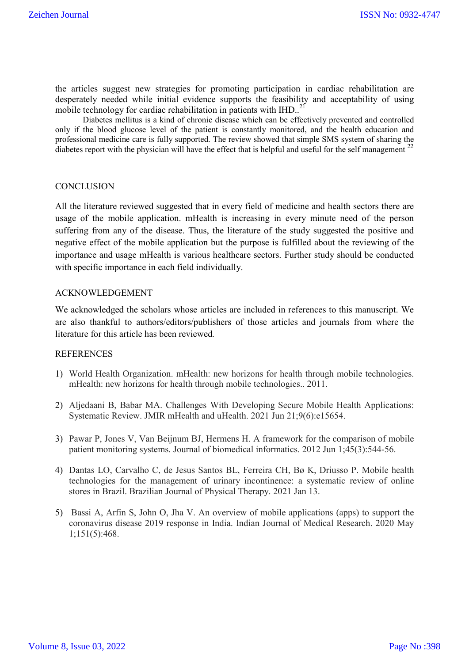the articles suggest new strategies for promoting participation in cardiac rehabilitation are desperately needed while initial evidence supports the feasibility and acceptability of using mobile technology for cardiac rehabilitation in patients with  $HID$ .<sup>21</sup>

Diabetes mellitus is a kind of chronic disease which can be effectively prevented and controlled only if the blood glucose level of the patient is constantly monitored, and the health education and professional medicine care is fully supported. The review showed that simple SMS system of sharing the diabetes report with the physician will have the effect that is helpful and useful for the self management  $^{22}$ 

## **CONCLUSION**

All the literature reviewed suggested that in every field of medicine and health sectors there are usage of the mobile application. mHealth is increasing in every minute need of the person suffering from any of the disease. Thus, the literature of the study suggested the positive and negative effect of the mobile application but the purpose is fulfilled about the reviewing of the importance and usage mHealth is various healthcare sectors. Further study should be conducted with specific importance in each field individually.

## ACKNOWLEDGEMENT

We acknowledged the scholars whose articles are included in references to this manuscript. We are also thankful to authors/editors/publishers of those articles and journals from where the literature for this article has been reviewed.

## REFERENCES

- 1) World Health Organization. mHealth: new horizons for health through mobile technologies. mHealth: new horizons for health through mobile technologies.. 2011.
- 2) Aljedaani B, Babar MA. Challenges With Developing Secure Mobile Health Applications: Systematic Review. JMIR mHealth and uHealth. 2021 Jun 21;9(6):e15654.
- 3) Pawar P, Jones V, Van Beijnum BJ, Hermens H. A framework for the comparison of mobile patient monitoring systems. Journal of biomedical informatics. 2012 Jun 1;45(3):544-56.
- 4) Dantas LO, Carvalho C, de Jesus Santos BL, Ferreira CH, Bø K, Driusso P. Mobile health technologies for the management of urinary incontinence: a systematic review of online stores in Brazil. Brazilian Journal of Physical Therapy. 2021 Jan 13.
- 5) Bassi A, Arfin S, John O, Jha V. An overview of mobile applications (apps) to support the coronavirus disease 2019 response in India. Indian Journal of Medical Research. 2020 May 1;151(5):468.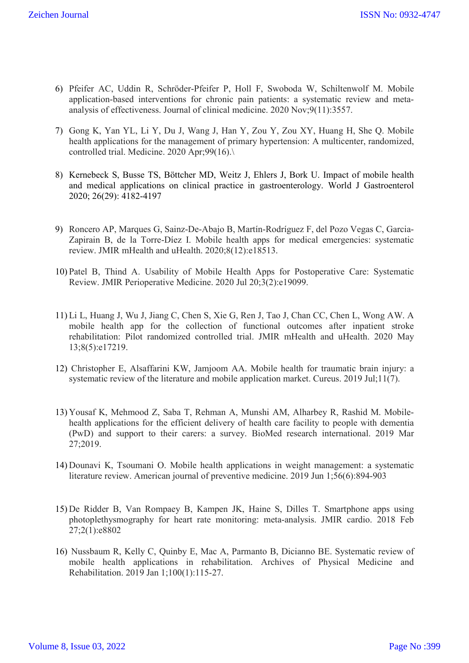- 6) Pfeifer AC, Uddin R, Schröder-Pfeifer P, Holl F, Swoboda W, Schiltenwolf M. Mobile application-based interventions for chronic pain patients: a systematic review and metaanalysis of effectiveness. Journal of clinical medicine. 2020 Nov;9(11):3557.
- 7) Gong K, Yan YL, Li Y, Du J, Wang J, Han Y, Zou Y, Zou XY, Huang H, She Q. Mobile health applications for the management of primary hypertension: A multicenter, randomized, controlled trial. Medicine. 2020 Apr;99(16).\
- 8) Kernebeck S, Busse TS, Böttcher MD, Weitz J, Ehlers J, Bork U. Impact of mobile health and medical applications on clinical practice in gastroenterology. World J Gastroenterol 2020; 26(29): 4182-4197
- 9) Roncero AP, Marques G, Sainz-De-Abajo B, Martín-Rodríguez F, del Pozo Vegas C, Garcia-Zapirain B, de la Torre-Díez I. Mobile health apps for medical emergencies: systematic review. JMIR mHealth and uHealth. 2020;8(12):e18513.
- 10) Patel B, Thind A. Usability of Mobile Health Apps for Postoperative Care: Systematic Review. JMIR Perioperative Medicine. 2020 Jul 20;3(2):e19099.
- 11) Li L, Huang J, Wu J, Jiang C, Chen S, Xie G, Ren J, Tao J, Chan CC, Chen L, Wong AW. A mobile health app for the collection of functional outcomes after inpatient stroke rehabilitation: Pilot randomized controlled trial. JMIR mHealth and uHealth. 2020 May 13;8(5):e17219.
- 12) Christopher E, Alsaffarini KW, Jamjoom AA. Mobile health for traumatic brain injury: a systematic review of the literature and mobile application market. Cureus. 2019 Jul;11(7).
- 13) Yousaf K, Mehmood Z, Saba T, Rehman A, Munshi AM, Alharbey R, Rashid M. Mobilehealth applications for the efficient delivery of health care facility to people with dementia (PwD) and support to their carers: a survey. BioMed research international. 2019 Mar 27;2019.
- 14) Dounavi K, Tsoumani O. Mobile health applications in weight management: a systematic literature review. American journal of preventive medicine. 2019 Jun 1;56(6):894-903
- 15) De Ridder B, Van Rompaey B, Kampen JK, Haine S, Dilles T. Smartphone apps using photoplethysmography for heart rate monitoring: meta-analysis. JMIR cardio. 2018 Feb 27;2(1):e8802
- 16) Nussbaum R, Kelly C, Quinby E, Mac A, Parmanto B, Dicianno BE. Systematic review of mobile health applications in rehabilitation. Archives of Physical Medicine and Rehabilitation. 2019 Jan 1;100(1):115-27.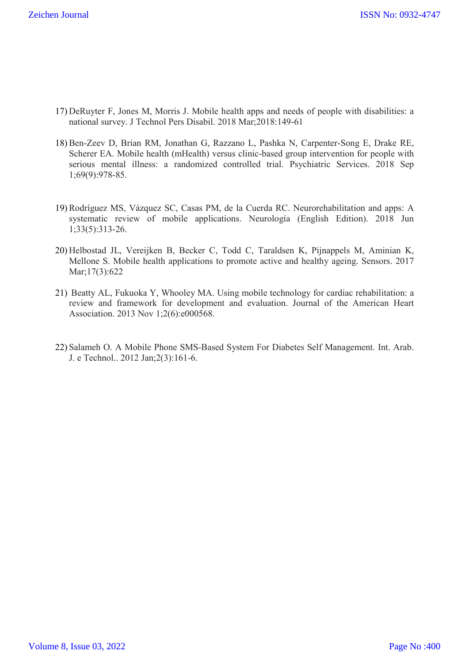- 17) DeRuyter F, Jones M, Morris J. Mobile health apps and needs of people with disabilities: a national survey. J Technol Pers Disabil. 2018 Mar;2018:149-61
- 18) Ben-Zeev D, Brian RM, Jonathan G, Razzano L, Pashka N, Carpenter-Song E, Drake RE, Scherer EA. Mobile health (mHealth) versus clinic-based group intervention for people with serious mental illness: a randomized controlled trial. Psychiatric Services. 2018 Sep 1;69(9):978-85.
- 19) Rodríguez MS, Vázquez SC, Casas PM, de la Cuerda RC. Neurorehabilitation and apps: A systematic review of mobile applications. Neurología (English Edition). 2018 Jun 1;33(5):313-26.
- 20) Helbostad JL, Vereijken B, Becker C, Todd C, Taraldsen K, Pijnappels M, Aminian K, Mellone S. Mobile health applications to promote active and healthy ageing. Sensors. 2017 Mar;17(3):622
- 21) Beatty AL, Fukuoka Y, Whooley MA. Using mobile technology for cardiac rehabilitation: a review and framework for development and evaluation. Journal of the American Heart Association. 2013 Nov 1;2(6):e000568.
- 22) Salameh O. A Mobile Phone SMS-Based System For Diabetes Self Management. Int. Arab. J. e Technol.. 2012 Jan;2(3):161-6.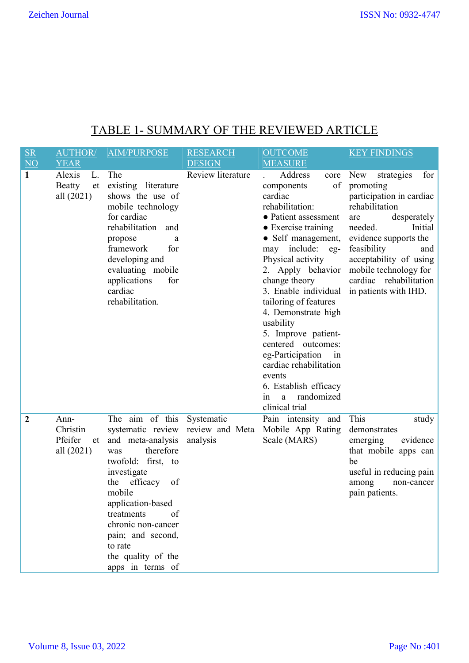# TABLE 1- SUMMARY OF THE REVIEWED ARTICLE

| $rac{\text{SR}}{\text{NO}}$ | <b>AUTHOR/</b><br><b>YEAR</b>                     | <b>AIM/PURPOSE</b>                                                                                                                                                                                                                                                                                             | <b>RESEARCH</b><br><b>DESIGN</b> | <b>OUTCOME</b><br><b>MEASURE</b>                                                                                                                                                                                                                                                                                                                                                                                                                                                             | <b>KEY FINDINGS</b>                                                                                                                                                                                                                                                                  |
|-----------------------------|---------------------------------------------------|----------------------------------------------------------------------------------------------------------------------------------------------------------------------------------------------------------------------------------------------------------------------------------------------------------------|----------------------------------|----------------------------------------------------------------------------------------------------------------------------------------------------------------------------------------------------------------------------------------------------------------------------------------------------------------------------------------------------------------------------------------------------------------------------------------------------------------------------------------------|--------------------------------------------------------------------------------------------------------------------------------------------------------------------------------------------------------------------------------------------------------------------------------------|
| $\mathbf{1}$                | Alexis<br>L.<br><b>Beatty</b><br>et<br>all (2021) | The<br>existing literature<br>shows the use of<br>mobile technology<br>for cardiac<br>rehabilitation<br>and<br>propose<br>a<br>framework<br>for<br>developing and<br>evaluating mobile<br>applications<br>for<br>cardiac<br>rehabilitation.                                                                    | Review literature                | Address<br>core<br>of<br>components<br>cardiac<br>rehabilitation:<br>• Patient assessment<br>• Exercise training<br>• Self management,<br>may include:<br>eg-<br>Physical activity<br>2. Apply behavior<br>change theory<br>3. Enable individual<br>tailoring of features<br>4. Demonstrate high<br>usability<br>5. Improve patient-<br>centered outcomes:<br>eg-Participation<br>in<br>cardiac rehabilitation<br>events<br>6. Establish efficacy<br>randomized<br>in<br>a<br>clinical trial | New<br>strategies<br>for<br>promoting<br>participation in cardiac<br>rehabilitation<br>desperately<br>are<br>needed.<br>Initial<br>evidence supports the<br>feasibility<br>and<br>acceptability of using<br>mobile technology for<br>cardiac rehabilitation<br>in patients with IHD. |
| $\overline{2}$              | Ann-<br>Christin<br>Pfeifer<br>et<br>all (2021)   | The aim of this<br>systematic review review and Meta<br>and meta-analysis<br>therefore<br>was<br>twofold: first, to<br>investigate<br>efficacy<br>the<br>of<br>mobile<br>application-based<br>treatments<br>of<br>chronic non-cancer<br>pain; and second,<br>to rate<br>the quality of the<br>apps in terms of | Systematic<br>analysis           | Pain intensity and<br>Mobile App Rating<br>Scale (MARS)                                                                                                                                                                                                                                                                                                                                                                                                                                      | This<br>study<br>demonstrates<br>evidence<br>emerging<br>that mobile apps can<br>be<br>useful in reducing pain<br>among<br>non-cancer<br>pain patients.                                                                                                                              |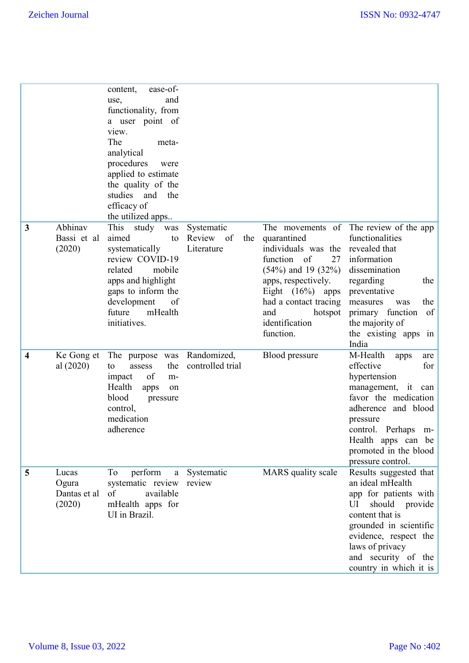|                         |                                          | ease-of-<br>content,<br>and<br>use,<br>functionality, from<br>a user point of<br>view.<br>The<br>meta-<br>analytical<br>procedures<br>were<br>applied to estimate<br>the quality of the<br>studies and<br>the<br>efficacy of<br>the utilized apps |                                              |                                                                                                                                                                                                                           |                                                                                                                                                                                                                                                 |
|-------------------------|------------------------------------------|---------------------------------------------------------------------------------------------------------------------------------------------------------------------------------------------------------------------------------------------------|----------------------------------------------|---------------------------------------------------------------------------------------------------------------------------------------------------------------------------------------------------------------------------|-------------------------------------------------------------------------------------------------------------------------------------------------------------------------------------------------------------------------------------------------|
| 3                       | Abhinav<br>Bassi et al<br>(2020)         | This study<br>was<br>aimed<br>to<br>systematically<br>review COVID-19<br>mobile<br>related<br>apps and highlight<br>gaps to inform the<br>development<br>of<br>mHealth<br>future<br>initiatives.                                                  | Systematic<br>Review of<br>the<br>Literature | quarantined<br>individuals was the revealed that<br>function of<br>27<br>$(54\%)$ and 19 $(32\%)$<br>apps, respectively.<br>Eight $(16\%)$ apps<br>had a contact tracing<br>and<br>hotspot<br>identification<br>function. | The movements of The review of the app<br>functionalities<br>information<br>dissemination<br>regarding<br>the<br>preventative<br>the<br>measures<br>was<br>primary function<br>of<br>the majority of<br>the existing apps<br>1n<br>India        |
| $\overline{\mathbf{4}}$ | Ke Gong et<br>al (2020)                  | The purpose was<br>the<br>to<br>assess<br>of<br>impact<br>m-<br>Health<br>apps<br>on<br>blood<br>pressure<br>control,<br>medication<br>adherence                                                                                                  | Randomized,<br>controlled trial              | Blood pressure                                                                                                                                                                                                            | M-Health<br>apps<br>are<br>effective<br>for<br>hypertension<br>management, it<br>can<br>favor the medication<br>adherence and blood<br>pressure<br>control. Perhaps<br>$m-$<br>Health apps can be<br>promoted in the blood<br>pressure control. |
| 5                       | Lucas<br>Ogura<br>Dantas et al<br>(2020) | perform<br>To<br>a<br>systematic review<br>of<br>available<br>mHealth apps for<br>UI in Brazil.                                                                                                                                                   | Systematic<br>review                         | MARS quality scale                                                                                                                                                                                                        | Results suggested that<br>an ideal mHealth<br>app for patients with<br>should<br>UI<br>provide<br>content that is<br>grounded in scientific<br>evidence, respect the<br>laws of privacy<br>and security of the<br>country in which it is        |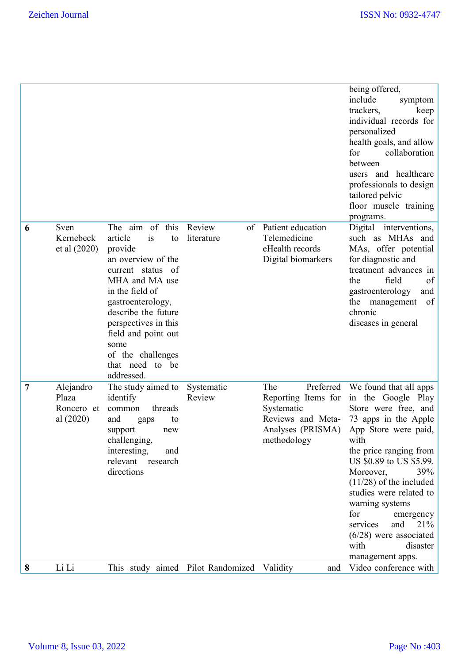|   |                                               |                                                                                                                                                                                                                                                                                            |                            |                                                                                                                | being offered,<br>include<br>symptom<br>trackers,<br>keep<br>individual records for<br>personalized<br>health goals, and allow<br>for<br>collaboration<br>between<br>users and healthcare<br>professionals to design<br>tailored pelvic<br>floor muscle training<br>programs.                                                                                                                      |
|---|-----------------------------------------------|--------------------------------------------------------------------------------------------------------------------------------------------------------------------------------------------------------------------------------------------------------------------------------------------|----------------------------|----------------------------------------------------------------------------------------------------------------|----------------------------------------------------------------------------------------------------------------------------------------------------------------------------------------------------------------------------------------------------------------------------------------------------------------------------------------------------------------------------------------------------|
| 6 | Sven<br>Kernebeck<br>et al (2020)             | The aim of this<br>article<br>is<br>to<br>provide<br>an overview of the<br>current status of<br>MHA and MA use<br>in the field of<br>gastroenterology,<br>describe the future<br>perspectives in this<br>field and point out<br>some<br>of the challenges<br>that need to be<br>addressed. | Review<br>of<br>literature | Patient education<br>Telemedicine<br>eHealth records<br>Digital biomarkers                                     | Digital interventions,<br>such as MHAs and<br>MAs, offer potential<br>for diagnostic and<br>treatment advances in<br>field<br>of<br>the<br>gastroenterology<br>and<br>the<br>management<br>of<br>chronic<br>diseases in general                                                                                                                                                                    |
| 7 | Alejandro<br>Plaza<br>Roncero et<br>al (2020) | The study aimed to<br>identify<br>threads<br>common<br>and<br>to<br>gaps<br>support<br>new<br>challenging,<br>interesting,<br>and<br>relevant<br>research<br>directions                                                                                                                    | Systematic<br>Review       | Preferred<br>The<br>Reporting Items for<br>Systematic<br>Reviews and Meta-<br>Analyses (PRISMA)<br>methodology | We found that all apps<br>in the Google Play<br>Store were free, and<br>73 apps in the Apple<br>App Store were paid,<br>with<br>the price ranging from<br>US \$0.89 to US \$5.99.<br>Moreover,<br>39%<br>$(11/28)$ of the included<br>studies were related to<br>warning systems<br>for<br>emergency<br>services<br>and<br>21%<br>$(6/28)$ were associated<br>with<br>disaster<br>management apps. |
| 8 | Li Li                                         | This study aimed Pilot Randomized Validity                                                                                                                                                                                                                                                 |                            | and                                                                                                            | Video conference with                                                                                                                                                                                                                                                                                                                                                                              |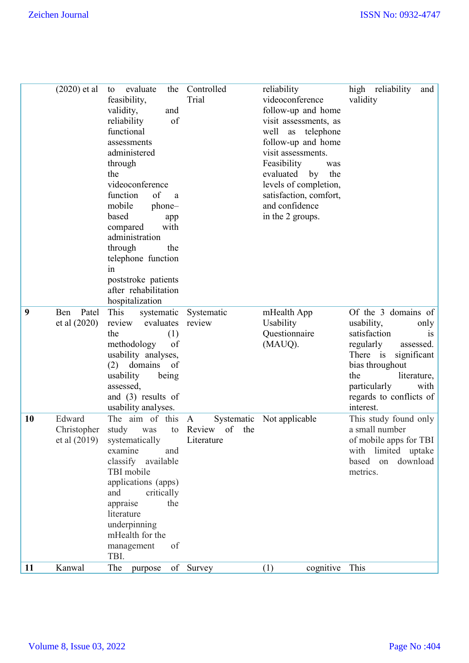|    | $(2020)$ et al | evaluate<br>the<br>to    | Controlled          | reliability                   | high reliability<br>and |
|----|----------------|--------------------------|---------------------|-------------------------------|-------------------------|
|    |                | feasibility,             | Trial               | videoconference               | validity                |
|    |                | validity,<br>and         |                     | follow-up and home            |                         |
|    |                | reliability<br>of        |                     | visit assessments, as         |                         |
|    |                | functional               |                     | well<br>telephone<br>$\rm as$ |                         |
|    |                | assessments              |                     | follow-up and home            |                         |
|    |                | administered             |                     | visit assessments.            |                         |
|    |                | through                  |                     | Feasibility<br>was            |                         |
|    |                | the                      |                     | evaluated<br>by<br>the        |                         |
|    |                | videoconference          |                     | levels of completion,         |                         |
|    |                | function<br>of<br>a      |                     | satisfaction, comfort,        |                         |
|    |                | mobile<br>phone-         |                     | and confidence                |                         |
|    |                | based<br>app             |                     | in the 2 groups.              |                         |
|    |                | with<br>compared         |                     |                               |                         |
|    |                | administration           |                     |                               |                         |
|    |                | the<br>through           |                     |                               |                         |
|    |                | telephone function       |                     |                               |                         |
|    |                | 1n                       |                     |                               |                         |
|    |                | poststroke patients      |                     |                               |                         |
|    |                | after rehabilitation     |                     |                               |                         |
|    |                | hospitalization          |                     |                               |                         |
| 9  | Ben<br>Patel   | This<br>systematic       | Systematic          | mHealth App                   | Of the 3 domains of     |
|    | et al (2020)   | evaluates<br>review      | review              | Usability                     | usability,<br>only      |
|    |                | (1)<br>the               |                     | Questionnaire                 | satisfaction<br>1S      |
|    |                | methodology<br>of        |                     | (MAUQ).                       | regularly<br>assessed.  |
|    |                | usability analyses,      |                     |                               | There is<br>significant |
|    |                | $(2)$ domains of         |                     |                               | bias throughout         |
|    |                | usability<br>being       |                     |                               | the<br>literature,      |
|    |                | assessed,                |                     |                               | particularly<br>with    |
|    |                | and $(3)$ results of     |                     |                               | regards to conflicts of |
|    |                | usability analyses.      |                     |                               | interest.               |
| 10 | Edward         | The aim of this          | Systematic<br>A     | Not applicable                | This study found only   |
|    | Christopher    | study<br>was<br>to       | of<br>Review<br>the |                               | a small number          |
|    | et al (2019)   | systematically           | Literature          |                               | of mobile apps for TBI  |
|    |                | examine<br>and           |                     |                               | with limited uptake     |
|    |                | classify available       |                     |                               | based<br>on<br>download |
|    |                | TBI mobile               |                     |                               | metrics.                |
|    |                | applications (apps)      |                     |                               |                         |
|    |                | and<br>critically<br>the |                     |                               |                         |
|    |                | appraise<br>literature   |                     |                               |                         |
|    |                | underpinning             |                     |                               |                         |
|    |                | mHealth for the          |                     |                               |                         |
|    |                | of<br>management         |                     |                               |                         |
|    |                | TBI.                     |                     |                               |                         |
| 11 | Kanwal         | The<br>purpose           | of Survey           | cognitive<br>(1)              | This                    |
|    |                |                          |                     |                               |                         |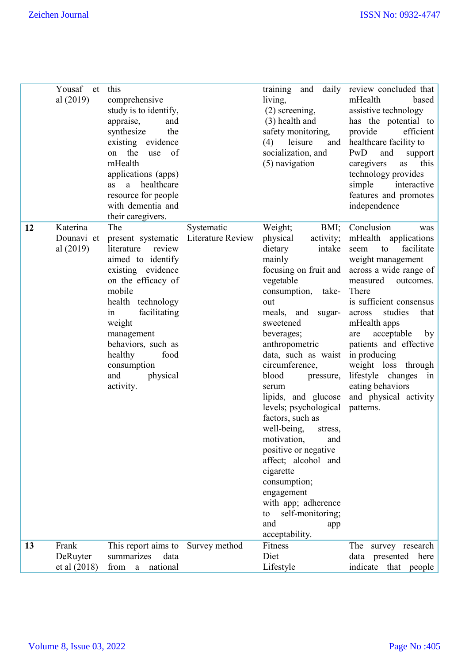|    | Yousaf et<br>al (2019)              | this<br>comprehensive<br>study is to identify,<br>appraise,<br>and<br>synthesize<br>the<br>existing evidence<br>on the<br>use of<br>mHealth<br>applications (apps)<br>a healthcare<br>as<br>resource for people<br>with dementia and<br>their caregivers.                              |                                 | living,<br>(2) screening,<br>(3) health and<br>safety monitoring,<br>(4)<br>leisure<br>and<br>socialization, and<br>(5) navigation                                                                                                                                                                                                                                                                                                                                                                                                                                                               | training and daily review concluded that<br>mHealth<br>based<br>assistive technology<br>has the potential to<br>provide<br>efficient<br>healthcare facility to<br>PwD<br>and<br>support<br>this<br>caregivers<br>as<br>technology provides<br>simple<br>interactive<br>features and promotes<br>independence                                                                                    |
|----|-------------------------------------|----------------------------------------------------------------------------------------------------------------------------------------------------------------------------------------------------------------------------------------------------------------------------------------|---------------------------------|--------------------------------------------------------------------------------------------------------------------------------------------------------------------------------------------------------------------------------------------------------------------------------------------------------------------------------------------------------------------------------------------------------------------------------------------------------------------------------------------------------------------------------------------------------------------------------------------------|-------------------------------------------------------------------------------------------------------------------------------------------------------------------------------------------------------------------------------------------------------------------------------------------------------------------------------------------------------------------------------------------------|
| 12 | Katerina<br>Dounavi et<br>al (2019) | The<br>present systematic<br>literature<br>review<br>aimed to identify<br>existing evidence<br>on the efficacy of<br>mobile<br>health technology<br>facilitating<br>in<br>weight<br>management<br>behaviors, such as<br>healthy<br>food<br>consumption<br>physical<br>and<br>activity. | Systematic<br>Literature Review | Weight;<br>BMI;<br>physical<br>activity;<br>dietary<br>intake<br>mainly<br>focusing on fruit and<br>vegetable<br>consumption, take-<br>out<br>meals, and sugar-<br>sweetened<br>beverages;<br>anthropometric<br>data, such as waist in producing<br>circumference,<br>blood<br>pressure,<br>serum<br>lipids, and glucose<br>levels; psychological<br>factors, such as<br>well-being,<br>stress,<br>motivation,<br>and<br>positive or negative<br>affect; alcohol and<br>cigarette<br>consumption;<br>engagement<br>with app; adherence<br>self-monitoring;<br>to<br>and<br>app<br>acceptability. | Conclusion<br>was<br>mHealth applications<br>facilitate<br>to<br>seem<br>weight management<br>across a wide range of<br>measured<br>outcomes.<br>There<br>is sufficient consensus<br>studies<br>across<br>that<br>mHealth apps<br>acceptable<br>by<br>are<br>patients and effective<br>weight loss through<br>lifestyle changes<br>in<br>eating behaviors<br>and physical activity<br>patterns. |
| 13 | Frank<br>DeRuyter<br>et al (2018)   | This report aims to<br>summarizes<br>data<br>national<br>from a                                                                                                                                                                                                                        | Survey method                   | Fitness<br>Diet<br>Lifestyle                                                                                                                                                                                                                                                                                                                                                                                                                                                                                                                                                                     | The<br>survey research<br>data presented here<br>indicate that people                                                                                                                                                                                                                                                                                                                           |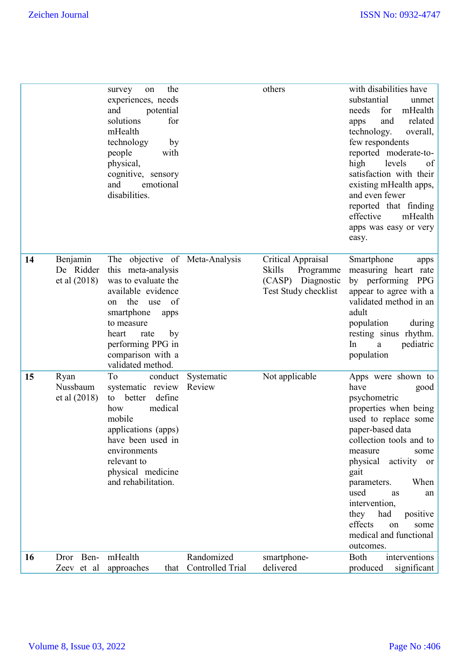|    |                       | the<br>survey<br>on<br>experiences, needs            |                         | others                                           | with disabilities have<br>substantial<br>unmet    |
|----|-----------------------|------------------------------------------------------|-------------------------|--------------------------------------------------|---------------------------------------------------|
|    |                       | and<br>potential                                     |                         |                                                  | needs<br>for<br>mHealth                           |
|    |                       | solutions<br>for<br>mHealth                          |                         |                                                  | related<br>and<br>apps<br>technology.<br>overall, |
|    |                       | technology<br>by                                     |                         |                                                  | few respondents                                   |
|    |                       | people<br>with                                       |                         |                                                  | reported moderate-to-                             |
|    |                       | physical,                                            |                         |                                                  | high<br>levels<br>of                              |
|    |                       | cognitive, sensory<br>and<br>emotional               |                         |                                                  | satisfaction with their<br>existing mHealth apps, |
|    |                       | disabilities.                                        |                         |                                                  | and even fewer                                    |
|    |                       |                                                      |                         |                                                  | reported that finding                             |
|    |                       |                                                      |                         |                                                  | effective<br>mHealth                              |
|    |                       |                                                      |                         |                                                  | apps was easy or very<br>easy.                    |
|    |                       |                                                      |                         |                                                  |                                                   |
| 14 | Benjamin<br>De Ridder | The objective of Meta-Analysis<br>this meta-analysis |                         | Critical Appraisal<br><b>Skills</b><br>Programme | Smartphone<br>apps<br>measuring heart rate        |
|    | et al (2018)          | was to evaluate the                                  |                         | (CASP) Diagnostic                                | by performing PPG                                 |
|    |                       | available evidence                                   |                         | Test Study checklist                             | appear to agree with a                            |
|    |                       | the<br>of<br>use<br>on                               |                         |                                                  | validated method in an<br>adult                   |
|    |                       | smartphone<br>apps<br>to measure                     |                         |                                                  | population<br>during                              |
|    |                       | heart<br>rate<br>by                                  |                         |                                                  | resting sinus rhythm.                             |
|    |                       | performing PPG in                                    |                         |                                                  | pediatric<br>In<br>a                              |
|    |                       | comparison with a<br>validated method.               |                         |                                                  | population                                        |
| 15 | Ryan                  | To<br>conduct                                        | Systematic              | Not applicable                                   | Apps were shown to                                |
|    | Nussbaum              | systematic review                                    | Review                  |                                                  | have<br>good                                      |
|    | et al (2018)          | define<br>better<br>to<br>medical<br>how             |                         |                                                  | psychometric<br>properties when being             |
|    |                       | mobile                                               |                         |                                                  | used to replace some                              |
|    |                       | applications (apps)                                  |                         |                                                  | paper-based data                                  |
|    |                       | have been used in<br>environments                    |                         |                                                  | collection tools and to<br>measure<br>some        |
|    |                       | relevant to                                          |                         |                                                  | activity<br>physical<br>or                        |
|    |                       | physical medicine                                    |                         |                                                  | gait                                              |
|    |                       | and rehabilitation.                                  |                         |                                                  | When<br>parameters.                               |
|    |                       |                                                      |                         |                                                  | used<br>as<br>an<br>intervention,                 |
|    |                       |                                                      |                         |                                                  | had<br>positive<br>they                           |
|    |                       |                                                      |                         |                                                  | effects<br>some<br>on                             |
|    |                       |                                                      |                         |                                                  | medical and functional<br>outcomes.               |
| 16 | Dror Ben-             | mHealth                                              | Randomized              | smartphone-                                      | Both<br>interventions                             |
|    | Zeev et al            | approaches<br>that                                   | <b>Controlled Trial</b> | delivered                                        | produced<br>significant                           |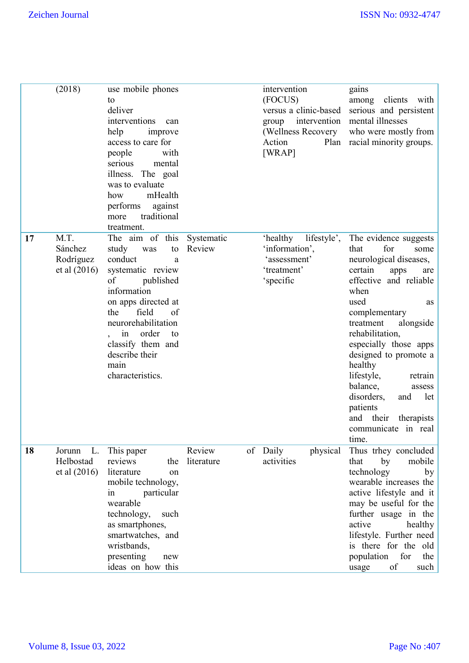|    | (2018)                                       | use mobile phones<br>to<br>deliver<br>interventions<br>can<br>help<br>improve<br>access to care for<br>with<br>people<br>serious<br>mental<br>illness. The goal<br>was to evaluate<br>mHealth<br>how<br>performs<br>against<br>traditional<br>more<br>treatment.         |                      | intervention<br>(FOCUS)<br>intervention<br>group<br>(Wellness Recovery<br>Action<br>[WRAP] | gains<br>among clients with<br>versus a clinic-based serious and persistent<br>mental illnesses<br>who were mostly from<br>Plan racial minority groups.                                                                                                                                                                                                                                                                          |
|----|----------------------------------------------|--------------------------------------------------------------------------------------------------------------------------------------------------------------------------------------------------------------------------------------------------------------------------|----------------------|--------------------------------------------------------------------------------------------|----------------------------------------------------------------------------------------------------------------------------------------------------------------------------------------------------------------------------------------------------------------------------------------------------------------------------------------------------------------------------------------------------------------------------------|
| 17 | M.T.<br>Sánchez<br>Rodríguez<br>et al (2016) | The aim of this<br>study<br>to<br>was<br>conduct<br>a<br>systematic review<br>of<br>published<br>information<br>on apps directed at<br>field<br>the<br>of<br>neurorehabilitation<br>order<br>to<br>in<br>classify them and<br>describe their<br>main<br>characteristics. | Systematic<br>Review | 'healthy<br>lifestyle',<br>'information',<br>'assessment'<br>'treatment'<br>'specific      | The evidence suggests<br>for<br>that<br>some<br>neurological diseases,<br>certain<br>apps<br>are<br>effective and reliable<br>when<br>used<br>as<br>complementary<br>treatment<br>alongside<br>rehabilitation,<br>especially those apps<br>designed to promote a<br>healthy<br>lifestyle,<br>retrain<br>balance,<br>assess<br>disorders,<br>and<br>let<br>patients<br>their<br>and<br>therapists<br>communicate in real<br>time. |
| 18 | Jorunn<br>Helbostad<br>et al (2016)          | L. This paper<br>reviews<br>the<br>literature<br>on<br>mobile technology,<br>particular<br>in<br>wearable<br>technology,<br>such<br>as smartphones,<br>smartwatches, and<br>wristbands,<br>presenting<br>new<br>ideas on how this                                        | Review<br>literature | of Daily<br>physical<br>activities                                                         | Thus trhey concluded<br>mobile<br>that<br>by<br>technology<br>by<br>wearable increases the<br>active lifestyle and it<br>may be useful for the<br>further usage in the<br>active<br>healthy<br>lifestyle. Further need<br>is there for the old<br>for<br>population<br>the<br>of<br>such<br>usage                                                                                                                                |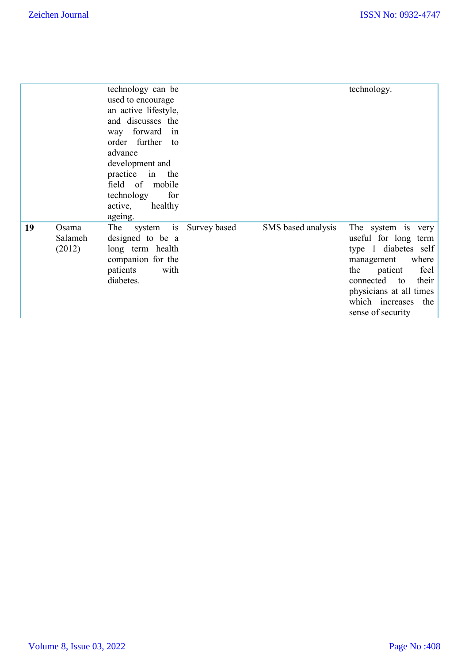|    |                            | technology can be<br>used to encourage<br>an active lifestyle,<br>and discusses the<br>way forward<br>in<br>order further<br>to<br>advance<br>development and<br>in the<br>practice<br>field of mobile<br>technology<br>for<br>healthy<br>active, |              |                    | technology.                                                                                                                                                                                                            |
|----|----------------------------|---------------------------------------------------------------------------------------------------------------------------------------------------------------------------------------------------------------------------------------------------|--------------|--------------------|------------------------------------------------------------------------------------------------------------------------------------------------------------------------------------------------------------------------|
| 19 | Osama<br>Salameh<br>(2012) | ageing.<br>is<br>The<br>system<br>designed to be a<br>long term health<br>companion for the<br>patients<br>with<br>diabetes.                                                                                                                      | Survey based | SMS based analysis | The system is very<br>useful for long term<br>type 1 diabetes self<br>where<br>management<br>feel<br>the<br>patient<br>connected to<br>their<br>physicians at all times<br>which increases<br>the<br>sense of security |